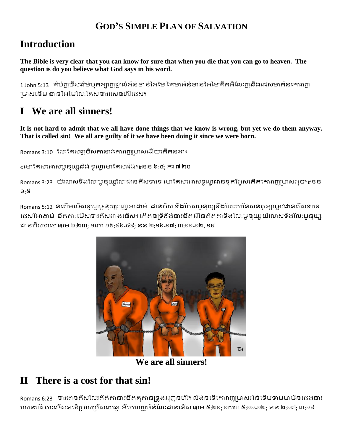#### **GOD'S SIMPLE PLAN OF SALVATION**

#### **Introduction**

**The Bible is very clear that you can know for sure that when you die that you can go to heaven. The question is do you believe what God says in his word.**

1 John 5:13 គ៌ប់ញូចីសឆ៌ម់បុតអ្យាញដ្វាល់អ៌ន់ខាន់អៃមៃ គៃមាអ៌ន់ខាន់អៃមៃគឺតអីលែៈញូឆឺងជេសមាក៌នកោរាញ ឞ្រាសជនើម ខាន់អអ្យអមលលែៈលគសនាវជេសនហ៝េ៝ជេស។

# **I We are all sinners!**

**It is not hard to admit that we all have done things that we know is wrong, but yet we do them anyway. That is called sin! We all are guilty of it we have been doing it since we were born.**

Romans 3:10 លែៈគែសញុចិសតានាវកោរាញូប្រាសដើយកើតនអា៖

«មោគែសអោសបួនយ្យឆ៌ង់ ទូហេមោគែសដ៏ង់។#នន ៦:៥; ករ ៧:២០

Romans 3:23 យ៌រលាសទឹងលែ:ឞូនុយ្សលេះងានតីសទាទេ មោគែសអោសទូហុេងានទុតអ្វែសកើតកោរាញហ្រសអុច៕#នន ៦:៥

Romans 5:12 នកើមបើសទ្ធហ្គេមនយ្យាញាអាដាម់ ជានតីស ទឹងគែសឫនយ្យទឹងលែៈតានៃសនតុអាហ្គូរជានតីសទាទេ ដេសរីអាដាម់ ខឹតតា:បើសនាវតីសពាង់នើស។ កើតន្យទីដំងនាវខឹតអីនៃត៌ត់តាទឹងលែ:ឞូនុយ្ស យ៌រលាសទឹងលែ:ឞូនុយ្ស ជ្វនតីសទាជទ។#េម ៦:២៣; ១ជោ ១៥:៤៦-៤៩; នន ២:១៦-១៧; ៣:១១-១២, ១៩



**We are all sinners!**

## **II There is a cost for that sin!**

Romans 6:23 នាវជានតីសលែវក៌ត់តានាវខឹតគុតានទ្រូងអុញ្ញនហ៊រ។ ល៌ង់នទើកោរាញហ្រសអ៌ន់ទើមទាមមាឞ៌ន់ជេងនាវ រេសនហ៊រ តា:បើសនទើប្រាសក្រីសយេឆូ អីកោរាញឞ៌ន់លែ:ជាននើស៕#រម ៥:២១; ១យហ ៥:១១-១២; នន ២:១៧; ៣:១៩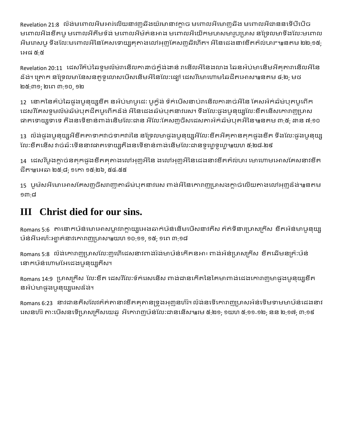Revelation 21:8 លិងមពោលអីមអារ់លើយនាវញ្ញឆីងយ៌រមានាវក្លាច មពោលអីមោញឆីង មពោលអីជាននទើបឹបើច មពោលអឹងខឹតឞូ មពោលអីតឹមទ៌ង់ មពោលអីម៌ត់នអាង មពោលអីយើកមហសមារូបប្រាស នទ្រែលមាទឹងលែ:មពោល អីមរោសឞូ ទឹងលែ:មពោលអីនៃគែសទោយ្សគុតាងលៅអុញគែសញ្ញឆឺវហីត។ អីនៃជេងនាវខឹតត៌ល់ហរ"៕នតម ២២:១៥; ជអ្យផ ៥:៥

Revelation 20:11 ដេសរីគ៌ប់ឆៃទូមល៌ម់រានើលកាដាច់កុំង់ងាន់ រានើលអីនៃងលាង ឆៃនអ៌ប់មានើមអីគុតារានើលអីនៃ ដ៌ង់។ ក្រោក នទ្រែលមានែសនតូទូលោសបើសនើមអីនៃលែៈផ្ដៅ ដេសរីមោហោមឆៃជីតអោស៕#នតម ៤:២; មថ ២៥:៣១; ២ជេ ៣:១០, ១២

12 នោកនៃគ៌ប់ឆៃផូងឞូនុយ្យខឹត នអ៌ប់មាឞូជេ: ឞូក្ម៌ង់ ទ៌ក់បើសនាប់រានើលកាដាច់អីនៃ គែសអ៌ក់ឆ៌ម់បុតឞូពើក ដេសរីគេសទូមល៌ម់ឆ៌ម់បុតជីតឞូពើកដ៏ង់ អីនៃដេងឆ៌ម់បុតនាវរេស។ ទឹងលែ:ផ្លូងឞូនុយ្សលេះខឹតនើសកោរាញ្យហស ជាតទោយទោទេ តឹងនទើខាន់ពាង់នើមលែៈជាន អឺលែៈគែសញថិសដេសតាអ៌ក់ឆ៌ម់បុតអឺនៃ៕ នតម ៣:៥; ដាន ៧:១០

13 ល៌ង់ផូងឞូនុយ្សអីខឹតតាទាកវាច់ទាកវារ៉េនៃ នទ្រែលមាផូងឞូនុយ្សអីលៃ:ខឹតអីគុតានតុកផូងខឹត ទឹងលែ:ផូងឞូនុយ្ស លែៈខឹតនើស វាច់ឆ៌ៈទើននាវជាតទោយតើងនទើខាន់ពាង់នើមលែៈជានទូហ្វេទូហ្វេ៕យហ ៥:២៨-២៩

14 ដេសរីបូងក្លាច់នតុកផូងខឹតគុតាងលៅអុញអីនៃ ងលៅអុញអីនៃជេងនាវខឹតត៌ល់ហរ មោហោមអោសគែសនាវខឹត េឹត។#ជអ្យឆា ២៥:៨; ១ជោ ១៥:២៦, ៥៤-៥៥

15 ឞូម៌សអីមោអោសគែសញ្ញចិសរាញាតាឆ៌ម់បុតនាវរេស ពាង់អឺនៃកោរាញូប្រាសងក្លាច់លើយតាងលៅអុញដ៏ង់៕ $\mathbf s$ តម ១៣:៨

## **III Christ died for our sins.**

Romans 5:6 តានោកឞ៝ន់មោអោសប្លាវរាក្លាយ្យអេងឆាក់ឞ៝ន់នើមឞើសនាវតីស ត៌ត់ទីនារប្រាសក្រីស ខឹតអ៌ន់មាឞូនុយ្ស ឞ៝ន់អ្យីជអ្យហ៝ែៈអ្យាត់នាវជោរាញឞ្រាស។#យហ ១០:១១, ១៥; ១ជេ ៣:១៨

Romans 5:8 ល៌ង់កោរាញូប្រាសលែ:ញហើដេសនាវពាង់រ៌ង់មាឞ៌ន់កើតនអា៖ ពាង់អ៌ន់ប្រាសក្រីស ខឹតឆើមនគ្រ៌:ឞ៝ន់ នោកឞ៝ន់ហោមអែដេងឞូនុយ្សតីស។

Romans 14:9 ប្រាសក្រីស លែៈខឹត ជេសរីលេៈទឹក់រេសនើស ពាង់ជានកើតនៃគៃមាពាង់ជេងកោរាញមាផូងបូនុយ្យខឹត នអ៌ប់មាផូងឞូនុយ្សរេសដ៏ង់។

Romans 6:23 នាវជានតិសលែវត៌ត់តានាវខឹតគុតានទ្រូងអុញនហ៊រ។ ល៌ង់នទើកោរាញហ្រសអ៌ន់ទើមទាមមាឞ៌ន់ជេងនាវ រេសនហ៊រ តា:បើសនទើប្រាសក្រីសយេឆូ អីកោរាញឞ៌ន់លែ:ជាននើស៕#រម ៥:២១; ១យហ ៥:១១-១២; នន ២:១៧; ៣:១៩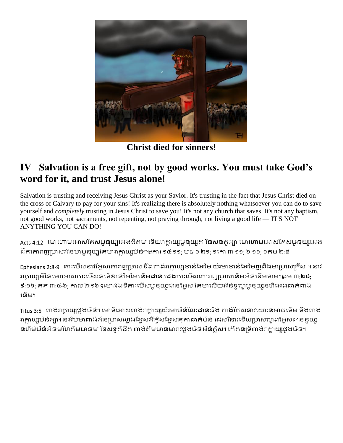

**Christ died for sinners!**

#### **IV Salvation is a free gift, not by good works. You must take God's word for it, and trust Jesus alone!**

Salvation is trusting and receiving Jesus Christ as your Savior. It's trusting in the fact that Jesus Christ died on the cross of Calvary to pay for your sins! It's realizing there is absolutely nothing whatsoever you can do to save yourself and *completely* trusting in Jesus Christ to save you! It's not any church that saves. It's not any baptism, not good works, not sacraments, not repenting, not praying through, not living a good life — IT'S NOT ANYTHING YOU CAN DO!

Acts 4:12 មោហោមអោសគែសឞនយ្យអេងជីតមាទើយរាក្លាយប្រនយ្យគានៃសនតុអា មោហោមអោសគែសឞនយ្យអេង ជីតកោរាញប្រាសអ៌ន់មាបូនុយ្សគៃមារាក្លាយ្សប៌ន់"៕ការ ១៥:១១; មថ ១:២១; ១កោ ៣:១១; ៦:១១; ១តម ២:៥

Ephesians 2:8-9 តា:បើសនាវអ្វែសកោរាញូប្រាស ទឹងពាង់រាក្លាយួរខាន់អៃមៃ យ៌រមាខាន់អៃមៃញុឆីងមាប្រាសក្រីស ។ នាវ រាក្លាយ្សអីនៃមោអោសតា:បើសនទើខាន់អៃមៃនើមជាន ជេងតា:បើសកោរាញហ្រសនើមអំន់ទើមទាម។#រម ៣:២៤; ៩:១៦; តត ៣:៤-៦; កាល ២:១៦ 9មោដ៌ង់ទីតា:បើសឞូនុយ្យជានអែ្ចស គៃមាលើយអ៌ន់ទូហ្គេបួនុយ្យនហីអេងឆាក់ពាង់ ជនើម។

Titus 3:5 ពាង់រាក្លាយ្យផូងឞ៌ន់។ មោទីអោសពាង់រាក្លាយ្យយ៌រមាឞ៌ន់លែ:ជានឆ៌ង់ ពាង់គែសនាវយោ:នអាចទើម ទឹងពាង់ រាក្លាយ្យប់ន់អ្បា។ នអ៌ប់មាពាង់អ៊ន់ប្រាសហ្វេងអ្វែសអីក្ល៌សអ្វែសគុតាឆាក់ឞ៌ន់ ដេសរីនាវទើយប្រាសហ្វេងអ្វែសជាននូយ្ស នហ៌ម់ឞ៝ន់អ៌ន់មហៃតឹមមានមាទែសទូតឹជីត ពាង់តឹមមានមារាវផូងឞ៝ន់អ៌ន់ក្ល៌ស។ កើតនទ្រីពាង់រាក្លាយ្យផូងឞ៝ន់។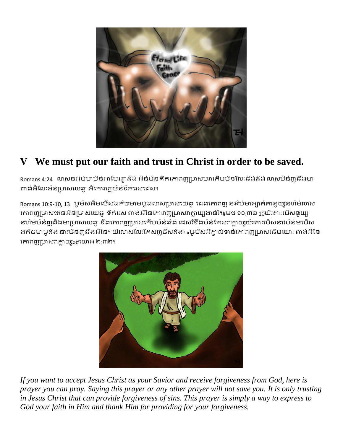

### **V We must put our faith and trust in Christ in order to be saved.**

Romans 4:24 ្លាសនអ៌ប់មាឞ៌ន់អាបៃអ្យាដ៏ង់ អ៌ន់ឞ៌ន់គឹតកោរាញូប្រាសមរាកើបឞ៌ន់លែ:ឆ៌ង់ដ៏ង់ លាសឞ៌ន់ញ្ឆឆឺងមា ពាង់អីលែៈអំន់ប្រាសយេឆូ អីកោរាញឞ៌ន់ទឹក់រេសជេស។

Romans 10:9-10, 13 ឞូម៝សអីមឞើសងក៌ចមាមឞូងលាសប្រាសយេឆូ ជេងកោរាញ នអ៌ប់មាអ្យាត់តានូយ្សនហ៌ម់លាស កោរាញូប្រាសជានអ៌ន់ប្រាសយេឆូ ទឹក់រេស ពាង់អីនៃកោរាញូប្រាសរាក្លាយូរងាន់រំ។#មថ ១០:៣២ 10យ៌រតា:បើសនូយ្ស នហ៌ម់ឞ៝ន់៣ុឆីងមាប្រាសយេឆូ ទឹងកោរាញ្យមាសកើបឞ៝ន់ឆ៌ង់ ដេសរីទឹងឞ៝ន់គែសរាក្លាយ្យយ៌រតា:ឞើសនាវឞ៌ន់មឞើស ងក៌ចមាឞូដ៏ង់ នាវឞ៌ន់៣ុឆីងអឺនៃ។ យ៌រលាសលែ:គែស៣្ថចិសដ៏ង់៖ «ឞូម៝សអីក្លាល់ទាន់កោរា៣្យហសឆើមយោ: ពាង់អឺនៃ កោរាញប្រាសរាក្លាយ្យ»#យោអ ២:៣២។



*If you want to accept Jesus Christ as your Savior and receive forgiveness from God, here is prayer you can pray. Saying this prayer or any other prayer will not save you. It is only trusting in Jesus Christ that can provide forgiveness of sins. This prayer is simply a way to express to God your faith in Him and thank Him for providing for your forgiveness.*